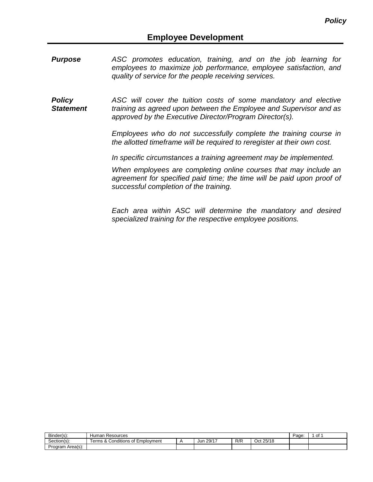- *Purpose ASC promotes education, training, and on the job learning for employees to maximize job performance, employee satisfaction, and quality of service for the people receiving services.*
- *Policy Statement ASC will cover the tuition costs of some mandatory and elective training as agreed upon between the Employee and Supervisor and as approved by the Executive Director/Program Director(s).*

*Employees who do not successfully complete the training course in the allotted timeframe will be required to reregister at their own cost.*

*In specific circumstances a training agreement may be implemented.*

*When employees are completing online courses that may include an*  agreement for specified paid time; the time will be paid upon proof of *successful completion of the training.*

*Each area within ASC will determine the mandatory and desired specialized training for the respective employee positions.*

| Binder(s):       | Human<br>Resources                                                                      |  |              |     |           |  | οt |
|------------------|-----------------------------------------------------------------------------------------|--|--------------|-----|-----------|--|----|
| Section(s):      | <br>$\overline{\phantom{0}}$<br>Conditions<br>Employment<br>าร &<br>erms<br>$\sim$<br>v |  | 29/17<br>Jun | R/R | Oct 25/18 |  |    |
| Program Area(s): |                                                                                         |  |              |     |           |  |    |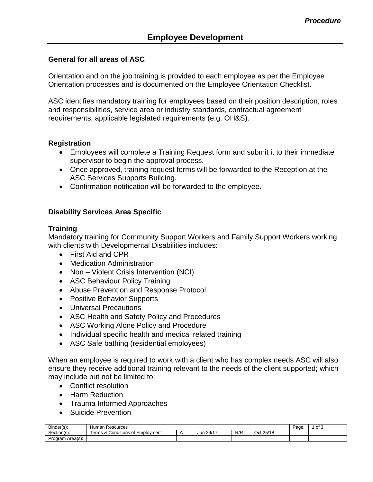#### **General for all areas of ASC**

Orientation and on the job training is provided to each employee as per the Employee Orientation processes and is documented on the Employee Orientation Checklist.

ASC identifies mandatory training for employees based on their position description, roles and responsibilities, service area or industry standards, contractual agreement requirements, applicable legislated requirements (e.g. OH&S).

#### **Registration**

- Employees will complete a Training Request form and submit it to their immediate supervisor to begin the approval process.
- Once approved, training request forms will be forwarded to the Reception at the ASC Services Supports Building.
- Confirmation notification will be forwarded to the employee.

### **Disability Services Area Specific**

#### **Training**

Mandatory training for Community Support Workers and Family Support Workers working with clients with Developmental Disabilities includes:

- First Aid and CPR
- Medication Administration
- Non Violent Crisis Intervention (NCI)
- ASC Behaviour Policy Training
- Abuse Prevention and Response Protocol
- Positive Behavior Supports
- Universal Precautions
- ASC Health and Safety Policy and Procedures
- ASC Working Alone Policy and Procedure
- Individual specific health and medical related training
- ASC Safe bathing (residential employees)

When an employee is required to work with a client who has complex needs ASC will also ensure they receive additional training relevant to the needs of the client supported; which may include but not be limited to:

- Conflict resolution
- Harm Reduction
- Trauma Informed Approaches
- Suicide Prevention

| Binder(s):       | Human<br>Resources                                    |  |              |     |           |  | of 3 |
|------------------|-------------------------------------------------------|--|--------------|-----|-----------|--|------|
| Section(s):      | -<br>Conditions of<br>$\circ$<br>Employment<br>erms & |  | 29/17<br>Jur | R/R | Oct 25/18 |  |      |
| Program Area(s): |                                                       |  |              |     |           |  |      |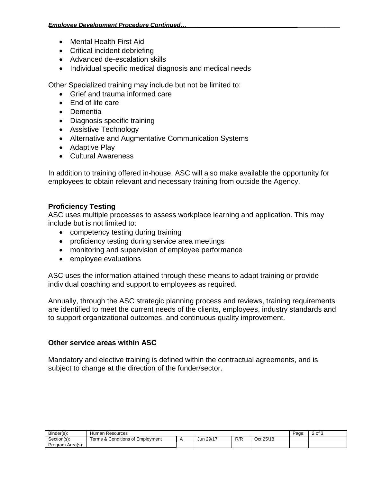- Mental Health First Aid
- Critical incident debriefing
- Advanced de-escalation skills
- Individual specific medical diagnosis and medical needs

Other Specialized training may include but not be limited to:

- Grief and trauma informed care
- End of life care
- Dementia
- Diagnosis specific training
- Assistive Technology
- Alternative and Augmentative Communication Systems
- Adaptive Play
- Cultural Awareness

In addition to training offered in-house, ASC will also make available the opportunity for employees to obtain relevant and necessary training from outside the Agency.

### **Proficiency Testing**

ASC uses multiple processes to assess workplace learning and application. This may include but is not limited to:

- competency testing during training
- proficiency testing during service area meetings
- monitoring and supervision of employee performance
- employee evaluations

ASC uses the information attained through these means to adapt training or provide individual coaching and support to employees as required.

Annually, through the ASC strategic planning process and reviews, training requirements are identified to meet the current needs of the clients, employees, industry standards and to support organizational outcomes, and continuous quality improvement.

### **Other service areas within ASC**

Mandatory and elective training is defined within the contractual agreements, and is subject to change at the direction of the funder/sector.

| $\sim$<br>Binder(s): | Resources<br>Human                                                  |  |              |     |                                             |  | 2 of 3 |
|----------------------|---------------------------------------------------------------------|--|--------------|-----|---------------------------------------------|--|--------|
| Section(s):          | $\cdots$<br>Conditions of<br>erms<br>: Emplovment<br>∍ ~+ ຳ<br>' ۵۷ |  | 29/17<br>Jur | R/R | 25/18 ن<br>$\bigcap_{n\in\mathbb{N}}$<br>wu |  |        |
| Program Area(s):     |                                                                     |  |              |     |                                             |  |        |